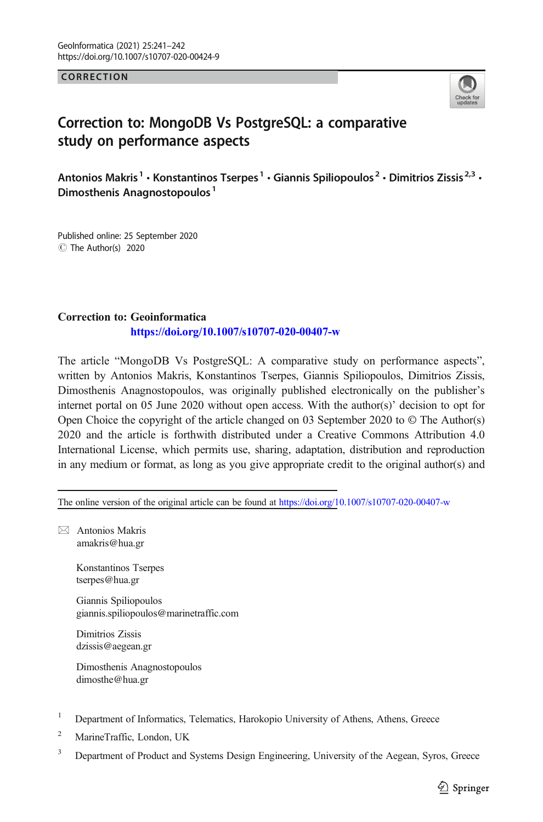**CORRECTION** CORRECTION



## Correction to: MongoDB Vs PostgreSQL: a comparative study on performance aspects

Antonios Makris<sup>1</sup> • Konstantinos Tserpes<sup>1</sup> • Giannis Spiliopoulos<sup>2</sup> • Dimitrios Zissis<sup>2,3</sup> • Dimosthenis Anagnostopoulos<sup>1</sup>

C The Author(s) 2020 Published online: 25 September 2020

## Correction to: Geoinformatica <https://doi.org/10.1007/s10707-020-00407-w>

The article "MongoDB Vs PostgreSQL: A comparative study on performance aspects", written by Antonios Makris, Konstantinos Tserpes, Giannis Spiliopoulos, Dimitrios Zissis, Dimosthenis Anagnostopoulos, was originally published electronically on the publisher's internet portal on 05 June 2020 without open access. With the author(s)' decision to opt for Open Choice the copyright of the article changed on 03 September 2020 to © The Author(s) 2020 and the article is forthwith distributed under a Creative Commons Attribution 4.0 International License, which permits use, sharing, adaptation, distribution and reproduction in any medium or format, as long as you give appropriate credit to the original author(s) and

The online version of the original article can be found at <https://doi.org/10.1007/s10707-020-00407-w>

 $\boxtimes$  Antonios Makris [amakris@hua.gr](mailto:amakris@hua.gr)

> Konstantinos Tserpes tserpes@hua.gr

Giannis Spiliopoulos giannis.spiliopoulos@marinetraffic.com

Dimitrios Zissis dzissis@aegean.gr

Dimosthenis Anagnostopoulos dimosthe@hua.gr

- <sup>1</sup> Department of Informatics, Telematics, Harokopio University of Athens, Athens, Greece
- <sup>2</sup> MarineTraffic, London, UK
- <sup>3</sup> Department of Product and Systems Design Engineering, University of the Aegean, Syros, Greece